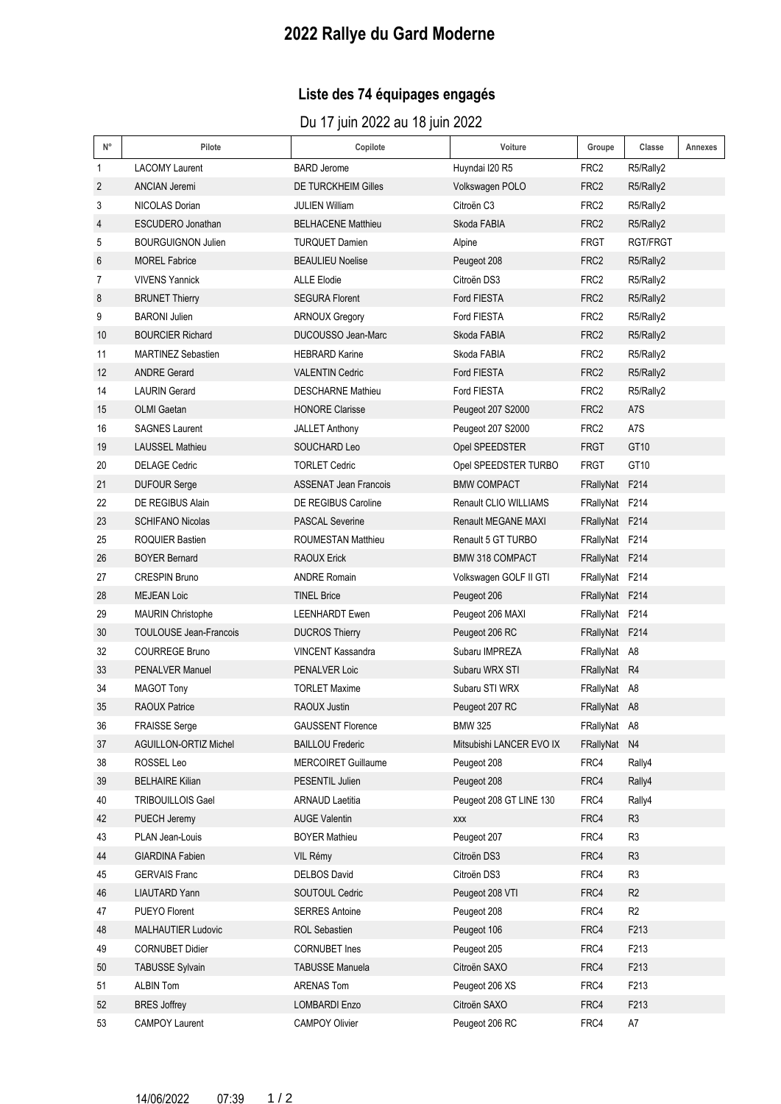## **2022 Rallye du Gard Moderne**

### **Liste des 74 équipages engagés**

Du 17 juin 2022 au 18 juin 2022

| N° | Pilote                        | Copilote                     | Voiture                  | Groupe           | Classe         | Annexes |
|----|-------------------------------|------------------------------|--------------------------|------------------|----------------|---------|
| 1  | <b>LACOMY Laurent</b>         | <b>BARD Jerome</b>           | Huyndai I20 R5           | FRC <sub>2</sub> | R5/Rally2      |         |
| 2  | <b>ANCIAN Jeremi</b>          | <b>DE TURCKHEIM Gilles</b>   | Volkswagen POLO          | FRC2             | R5/Rally2      |         |
| 3  | <b>NICOLAS Dorian</b>         | <b>JULIEN William</b>        | Citroën C <sub>3</sub>   | FRC <sub>2</sub> | R5/Rally2      |         |
| 4  | ESCUDERO Jonathan             | <b>BELHACENE Matthieu</b>    | Skoda FABIA              | FRC <sub>2</sub> | R5/Rally2      |         |
| 5  | <b>BOURGUIGNON Julien</b>     | <b>TURQUET Damien</b>        | Alpine                   | FRGT             | RGT/FRGT       |         |
| 6  | <b>MOREL Fabrice</b>          | <b>BEAULIEU Noelise</b>      | Peugeot 208              | FRC2             | R5/Rally2      |         |
| 7  | <b>VIVENS Yannick</b>         | <b>ALLE Elodie</b>           | Citroën DS3              | FRC2             | R5/Rally2      |         |
| 8  | <b>BRUNET Thierry</b>         | <b>SEGURA Florent</b>        | Ford FIESTA              | FRC <sub>2</sub> | R5/Rally2      |         |
| 9  | <b>BARONI Julien</b>          | <b>ARNOUX Gregory</b>        | Ford FIESTA              | FRC <sub>2</sub> | R5/Rally2      |         |
| 10 | <b>BOURCIER Richard</b>       | DUCOUSSO Jean-Marc           | Skoda FABIA              | FRC <sub>2</sub> | R5/Rally2      |         |
| 11 | <b>MARTINEZ Sebastien</b>     | <b>HEBRARD Karine</b>        | Skoda FABIA              | FRC <sub>2</sub> | R5/Rally2      |         |
| 12 | <b>ANDRE Gerard</b>           | <b>VALENTIN Cedric</b>       | Ford FIESTA              | FRC <sub>2</sub> | R5/Rally2      |         |
| 14 | <b>LAURIN Gerard</b>          | <b>DESCHARNE Mathieu</b>     | Ford FIESTA              | FRC2             | R5/Rally2      |         |
| 15 | OLMI Gaetan                   | <b>HONORE Clarisse</b>       | Peugeot 207 S2000        | FRC <sub>2</sub> | A7S            |         |
| 16 | <b>SAGNES Laurent</b>         | <b>JALLET Anthony</b>        | Peugeot 207 S2000        | FRC <sub>2</sub> | A7S            |         |
| 19 | <b>LAUSSEL Mathieu</b>        | SOUCHARD Leo                 | Opel SPEEDSTER           | <b>FRGT</b>      | GT10           |         |
| 20 | <b>DELAGE Cedric</b>          | <b>TORLET Cedric</b>         | Opel SPEEDSTER TURBO     | <b>FRGT</b>      | GT10           |         |
| 21 | <b>DUFOUR Serge</b>           | <b>ASSENAT Jean Francois</b> | <b>BMW COMPACT</b>       | FRallyNat F214   |                |         |
| 22 | DE REGIBUS Alain              | <b>DE REGIBUS Caroline</b>   | Renault CLIO WILLIAMS    | FRallyNat F214   |                |         |
| 23 | <b>SCHIFANO Nicolas</b>       | <b>PASCAL Severine</b>       | Renault MEGANE MAXI      | FRallyNat F214   |                |         |
| 25 | <b>ROQUIER Bastien</b>        | <b>ROUMESTAN Matthieu</b>    | Renault 5 GT TURBO       | FRallyNat F214   |                |         |
| 26 | <b>BOYER Bernard</b>          | <b>RAOUX Erick</b>           | <b>BMW 318 COMPACT</b>   | FRallyNat F214   |                |         |
| 27 | <b>CRESPIN Bruno</b>          | <b>ANDRE Romain</b>          | Volkswagen GOLF II GTI   | FRallyNat F214   |                |         |
| 28 | <b>MEJEAN Loic</b>            | <b>TINEL Brice</b>           | Peugeot 206              | FRallyNat F214   |                |         |
| 29 | <b>MAURIN Christophe</b>      | <b>LEENHARDT Ewen</b>        | Peugeot 206 MAXI         | FRallyNat F214   |                |         |
| 30 | <b>TOULOUSE Jean-Francois</b> | <b>DUCROS Thierry</b>        | Peugeot 206 RC           | FRallyNat F214   |                |         |
| 32 | <b>COURREGE Bruno</b>         | <b>VINCENT Kassandra</b>     | Subaru IMPREZA           | FRallyNat A8     |                |         |
| 33 | <b>PENALVER Manuel</b>        | PENALVER Loic                | Subaru WRX STI           | FRallyNat R4     |                |         |
| 34 | <b>MAGOT Tony</b>             | <b>TORLET Maxime</b>         | Subaru STI WRX           | FRallyNat A8     |                |         |
| 35 | <b>RAOUX Patrice</b>          | RAOUX Justin                 | Peugeot 207 RC           | FRallyNat A8     |                |         |
| 36 | <b>FRAISSE Serge</b>          | <b>GAUSSENT Florence</b>     | BMW 325                  | FRallyNat A8     |                |         |
| 37 | AGUILLON-ORTIZ Michel         | <b>BAILLOU Frederic</b>      | Mitsubishi LANCER EVO IX | FRallyNat N4     |                |         |
| 38 | ROSSEL Leo                    | <b>MERCOIRET Guillaume</b>   | Peugeot 208              | FRC4             | Rally4         |         |
| 39 | <b>BELHAIRE Kilian</b>        | PESENTIL Julien              | Peugeot 208              | FRC4             | Rally4         |         |
| 40 | <b>TRIBOUILLOIS Gael</b>      | <b>ARNAUD Laetitia</b>       | Peugeot 208 GT LINE 130  | FRC4             | Rally4         |         |
| 42 | PUECH Jeremy                  | <b>AUGE Valentin</b>         | XXX                      | FRC4             | R <sub>3</sub> |         |
| 43 | PLAN Jean-Louis               | <b>BOYER Mathieu</b>         | Peugeot 207              | FRC4             | R <sub>3</sub> |         |
| 44 | <b>GIARDINA Fabien</b>        | VIL Rémy                     | Citroën DS3              | FRC4             | R <sub>3</sub> |         |
| 45 | <b>GERVAIS Franc</b>          | <b>DELBOS David</b>          | Citroën DS3              | FRC4             | R <sub>3</sub> |         |
| 46 | <b>LIAUTARD Yann</b>          | SOUTOUL Cedric               | Peugeot 208 VTI          | FRC4             | R <sub>2</sub> |         |
| 47 | PUEYO Florent                 | <b>SERRES Antoine</b>        | Peugeot 208              | FRC4             | R <sub>2</sub> |         |
| 48 | MALHAUTIER Ludovic            | ROL Sebastien                | Peugeot 106              | FRC4             | F213           |         |
| 49 | <b>CORNUBET Didier</b>        | <b>CORNUBET</b> Ines         | Peugeot 205              | FRC4             | F213           |         |
| 50 | <b>TABUSSE Sylvain</b>        | <b>TABUSSE Manuela</b>       | Citroën SAXO             | FRC4             | F213           |         |
| 51 | <b>ALBIN Tom</b>              | ARENAS Tom                   | Peugeot 206 XS           | FRC4             | F213           |         |
| 52 | <b>BRES Joffrey</b>           | <b>LOMBARDI Enzo</b>         | Citroën SAXO             | FRC4             | F213           |         |
| 53 | <b>CAMPOY Laurent</b>         | <b>CAMPOY Olivier</b>        | Peugeot 206 RC           | FRC4             | A7             |         |